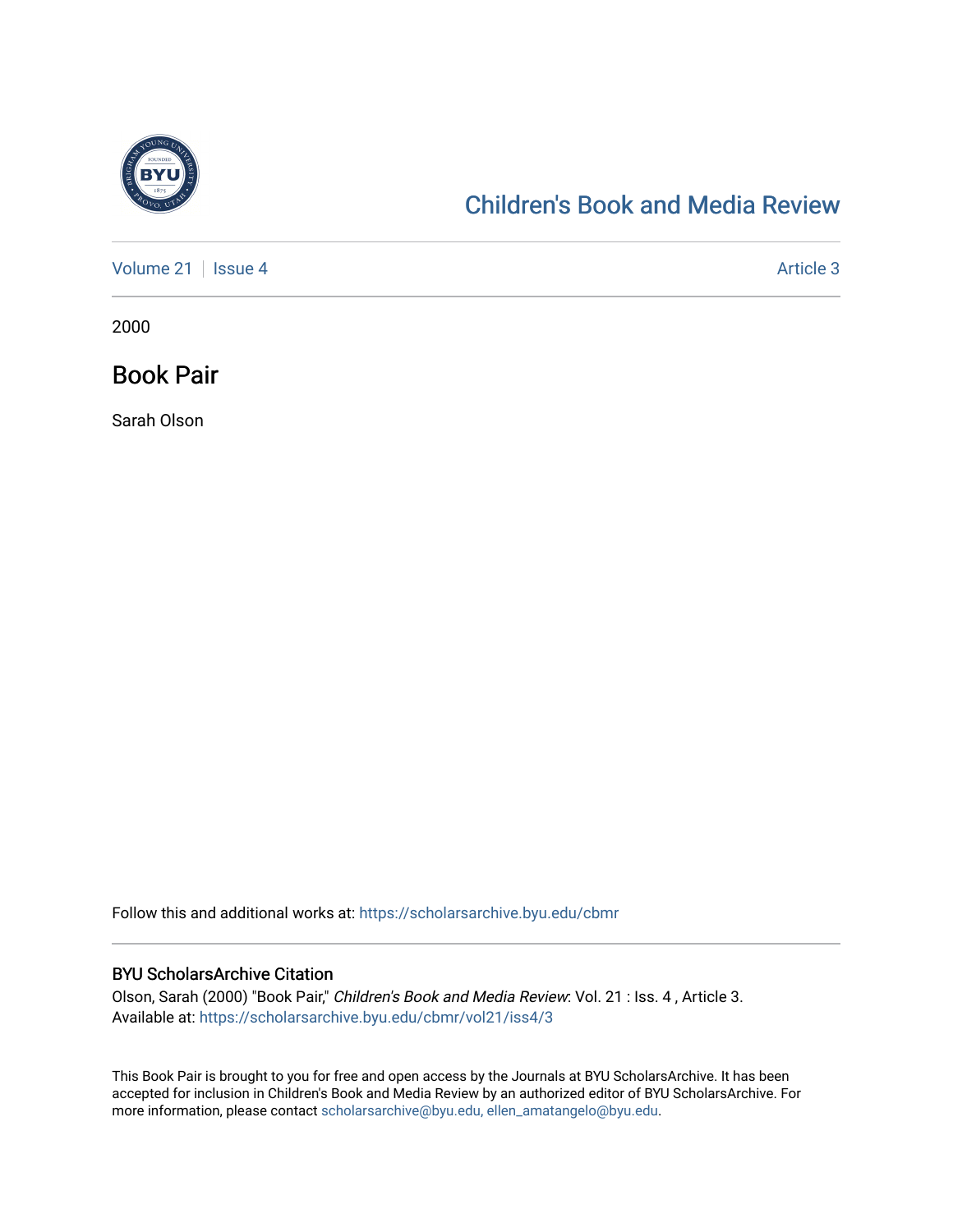

## [Children's Book and Media Review](https://scholarsarchive.byu.edu/cbmr)

[Volume 21](https://scholarsarchive.byu.edu/cbmr/vol21) | [Issue 4](https://scholarsarchive.byu.edu/cbmr/vol21/iss4) Article 3

2000

Book Pair

Sarah Olson

Follow this and additional works at: [https://scholarsarchive.byu.edu/cbmr](https://scholarsarchive.byu.edu/cbmr?utm_source=scholarsarchive.byu.edu%2Fcbmr%2Fvol21%2Fiss4%2F3&utm_medium=PDF&utm_campaign=PDFCoverPages) 

## BYU ScholarsArchive Citation

Olson, Sarah (2000) "Book Pair," Children's Book and Media Review: Vol. 21 : Iss. 4 , Article 3. Available at: [https://scholarsarchive.byu.edu/cbmr/vol21/iss4/3](https://scholarsarchive.byu.edu/cbmr/vol21/iss4/3?utm_source=scholarsarchive.byu.edu%2Fcbmr%2Fvol21%2Fiss4%2F3&utm_medium=PDF&utm_campaign=PDFCoverPages) 

This Book Pair is brought to you for free and open access by the Journals at BYU ScholarsArchive. It has been accepted for inclusion in Children's Book and Media Review by an authorized editor of BYU ScholarsArchive. For more information, please contact [scholarsarchive@byu.edu, ellen\\_amatangelo@byu.edu.](mailto:scholarsarchive@byu.edu,%20ellen_amatangelo@byu.edu)